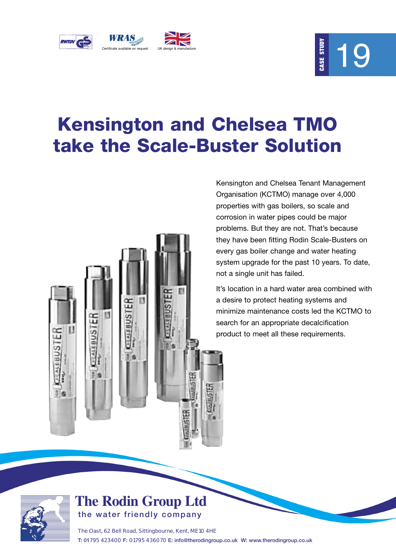

# 19

### **Kensington and Chelsea TMO take the Scale-Buster Solution**



Kensington and Chelsea Tenant Management Organisation (KCTMO) manage over 4,000 properties with gas boilers, so scale and corrosion in water pipes could be major problems. But they are not. That's because they have been fitting Rodin Scale-Busters on every gas boiler change and water heating system upgrade for the past 10 years. To date, not a single unit has failed. **Chelsea TMO**<br> **Chelsea TMO**<br> **Chelsea Tenant Managonganisation (KCTMO) manage over 4,0<br>
properties with gas boilers, so scale and<br>
corrosion in water pipes could be major<br>
problems. But they are not. That's because they h** 

It's location in a hard water area combined with a desire to protect heating systems and minimize maintenance costs led the KCTMO to search for an appropriate decalcification



### **The Rodin Group Ltd the water friendly company**

The Oast, 62 Bell Road, Sittingbourne, Kent, ME10 4HE **T: 01**795 423400 **F:** 01795 436070 **E: info@therodingroup.co.uk W: www.therodingroup.co.uk**